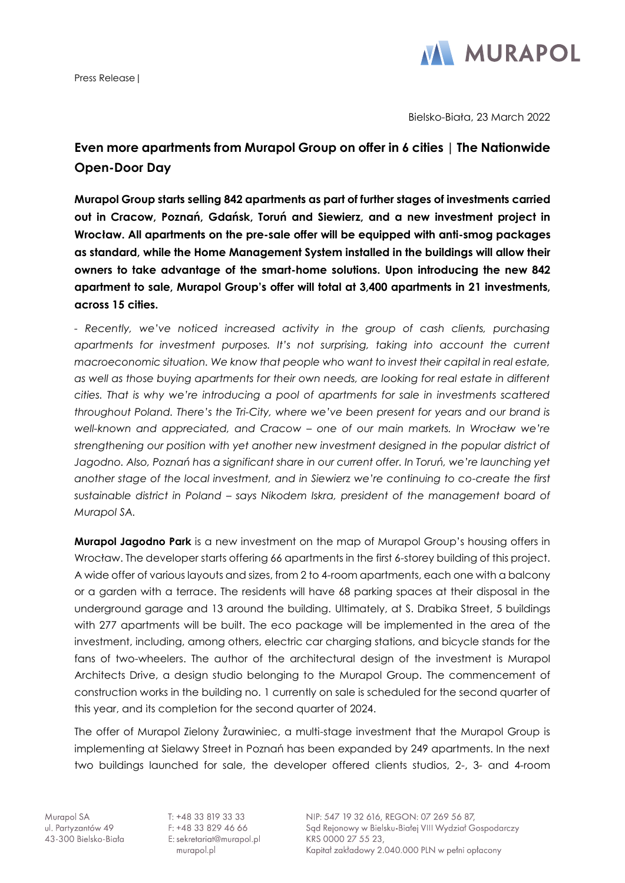Press Release|



Bielsko-Biała, 23 March 2022

## **Even more apartments from Murapol Group on offer in 6 cities | The Nationwide Open-Door Day**

**Murapol Group starts selling 842 apartments as part of further stages of investments carried out in Cracow, Poznań, Gdańsk, Toruń and Siewierz, and a new investment project in Wrocław. All apartments on the pre-sale offer will be equipped with anti-smog packages as standard, while the Home Management System installed in the buildings will allow their owners to take advantage of the smart-home solutions. Upon introducing the new 842 apartment to sale, Murapol Group's offer will total at 3,400 apartments in 21 investments, across 15 cities.**

*- Recently, we've noticed increased activity in the group of cash clients, purchasing apartments for investment purposes. It's not surprising, taking into account the current macroeconomic situation. We know that people who want to invest their capital in real estate, as well as those buying apartments for their own needs, are looking for real estate in different cities. That is why we're introducing a pool of apartments for sale in investments scattered throughout Poland. There's the Tri-City, where we've been present for years and our brand is well-known and appreciated, and Cracow – one of our main markets. In Wrocław we're strengthening our position with yet another new investment designed in the popular district of Jagodno. Also, Poznań has a significant share in our current offer. In Toruń, we're launching yet another stage of the local investment, and in Siewierz we're continuing to co-create the first sustainable district in Poland – says Nikodem Iskra, president of the management board of Murapol SA.*

**Murapol Jagodno Park** is a new investment on the map of Murapol Group's housing offers in Wrocław. The developer starts offering 66 apartments in the first 6-storey building of this project. A wide offer of various layouts and sizes, from 2 to 4-room apartments, each one with a balcony or a garden with a terrace. The residents will have 68 parking spaces at their disposal in the underground garage and 13 around the building. Ultimately, at S. Drabika Street, 5 buildings with 277 apartments will be built. The eco package will be implemented in the area of the investment, including, among others, electric car charging stations, and bicycle stands for the fans of two-wheelers. The author of the architectural design of the investment is Murapol Architects Drive, a design studio belonging to the Murapol Group. The commencement of construction works in the building no. 1 currently on sale is scheduled for the second quarter of this year, and its completion for the second quarter of 2024.

The offer of Murapol Zielony Żurawiniec, a multi-stage investment that the Murapol Group is implementing at Sielawy Street in Poznań has been expanded by 249 apartments. In the next two buildings launched for sale, the developer offered clients studios, 2-, 3- and 4-room

Murapol SA ul. Partyzantów 49 43-300 Bielsko-Biała

T: +48 33 819 33 33 F: +48 33 829 46 66 E: sekretariat@murapol.pl murapol.pl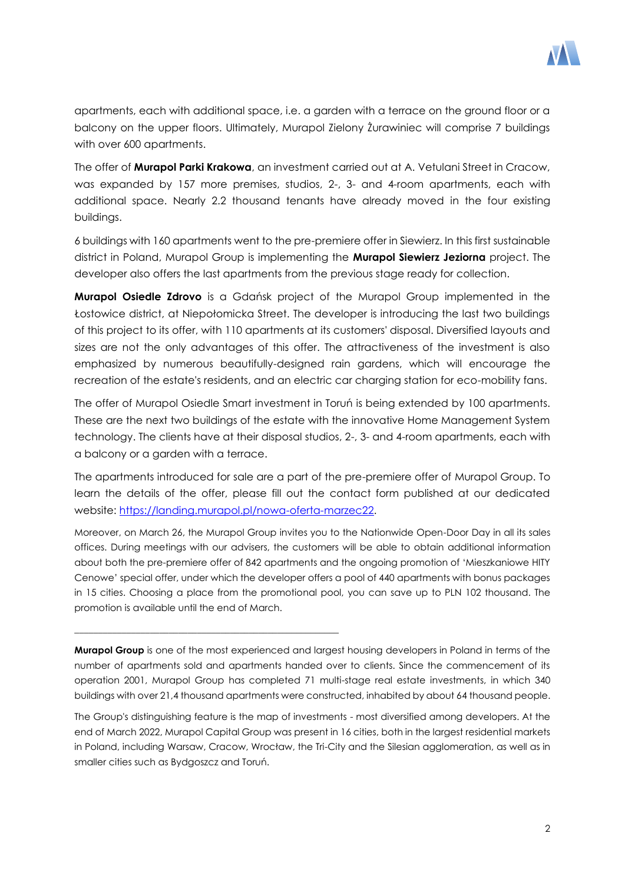

apartments, each with additional space, i.e. a garden with a terrace on the ground floor or a balcony on the upper floors. Ultimately, Murapol Zielony Żurawiniec will comprise 7 buildings with over 600 apartments.

The offer of **Murapol Parki Krakowa**, an investment carried out at A. Vetulani Street in Cracow, was expanded by 157 more premises, studios, 2-, 3- and 4-room apartments, each with additional space. Nearly 2.2 thousand tenants have already moved in the four existing buildings.

6 buildings with 160 apartments went to the pre-premiere offer in Siewierz. In this first sustainable district in Poland, Murapol Group is implementing the **Murapol Siewierz Jeziorna** project. The developer also offers the last apartments from the previous stage ready for collection.

**Murapol Osiedle Zdrovo** is a Gdańsk project of the Murapol Group implemented in the Łostowice district, at Niepołomicka Street. The developer is introducing the last two buildings of this project to its offer, with 110 apartments at its customers' disposal. Diversified layouts and sizes are not the only advantages of this offer. The attractiveness of the investment is also emphasized by numerous beautifully-designed rain gardens, which will encourage the recreation of the estate's residents, and an electric car charging station for eco-mobility fans.

The offer of Murapol Osiedle Smart investment in Toruń is being extended by 100 apartments. These are the next two buildings of the estate with the innovative Home Management System technology. The clients have at their disposal studios, 2-, 3- and 4-room apartments, each with a balcony or a garden with a terrace.

The apartments introduced for sale are a part of the pre-premiere offer of Murapol Group. To learn the details of the offer, please fill out the contact form published at our dedicated website: [https://landing.murapol.pl/nowa-oferta-marzec22.](https://landing.murapol.pl/nowa-oferta-marzec22)

Moreover, on March 26, the Murapol Group invites you to the Nationwide Open-Door Day in all its sales offices. During meetings with our advisers, the customers will be able to obtain additional information about both the pre-premiere offer of 842 apartments and the ongoing promotion of 'Mieszkaniowe HITY Cenowe' special offer, under which the developer offers a pool of 440 apartments with bonus packages in 15 cities. Choosing a place from the promotional pool, you can save up to PLN 102 thousand. The promotion is available until the end of March.

**Murapol Group** is one of the most experienced and largest housing developers in Poland in terms of the number of apartments sold and apartments handed over to clients. Since the commencement of its operation 2001, Murapol Group has completed 71 multi-stage real estate investments, in which 340 buildings with over 21,4 thousand apartments were constructed, inhabited by about 64 thousand people.

\_\_\_\_\_\_\_\_\_\_\_\_\_\_\_\_\_\_\_\_\_\_\_\_\_\_\_\_\_\_\_\_\_\_\_\_\_\_\_\_\_\_\_\_\_\_\_\_\_\_\_\_\_\_\_\_

The Group's distinguishing feature is the map of investments - most diversified among developers. At the end of March 2022, Murapol Capital Group was present in 16 cities, both in the largest residential markets in Poland, including Warsaw, Cracow, Wrocław, the Tri-City and the Silesian agglomeration, as well as in smaller cities such as Bydgoszcz and Toruń.